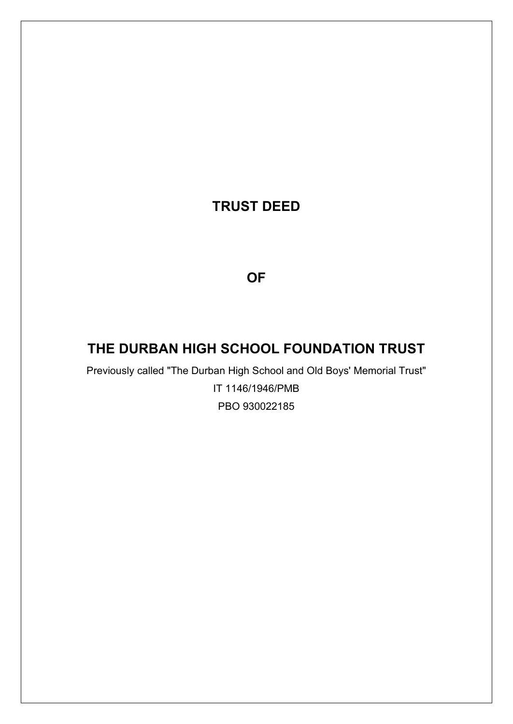# **TRUST DEED**

# **OF**

# **THE DURBAN HIGH SCHOOL FOUNDATION TRUST**

Previously called "The Durban High School and Old Boys' Memorial Trust" IT 1146/1946/PMB PBO 930022185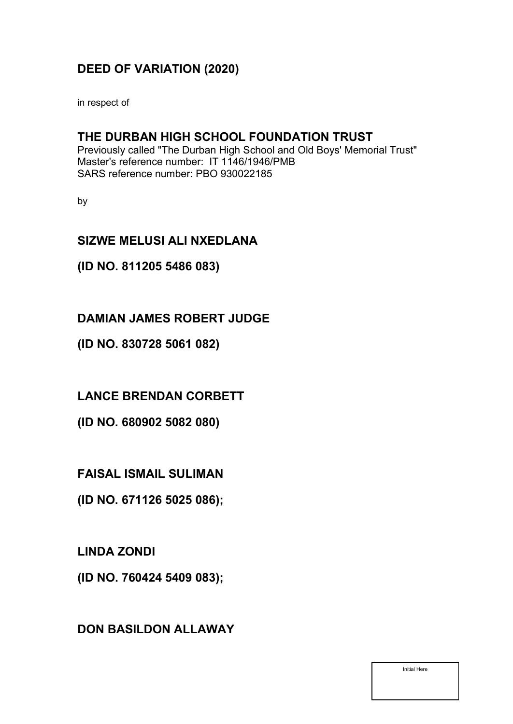# **DEED OF VARIATION (2020)**

in respect of

### **THE DURBAN HIGH SCHOOL FOUNDATION TRUST**

Previously called "The Durban High School and Old Boys' Memorial Trust" Master's reference number: IT 1146/1946/PMB SARS reference number: PBO 930022185

by

## **SIZWE MELUSI ALI NXEDLANA**

### **(ID NO. 811205 5486 083)**

### **DAMIAN JAMES ROBERT JUDGE**

**(ID NO. 830728 5061 082)**

**LANCE BRENDAN CORBETT**

**(ID NO. 680902 5082 080)**

**FAISAL ISMAIL SULIMAN**

**(ID NO. 671126 5025 086);**

**LINDA ZONDI**

**(ID NO. 760424 5409 083);** 

# **DON BASILDON ALLAWAY**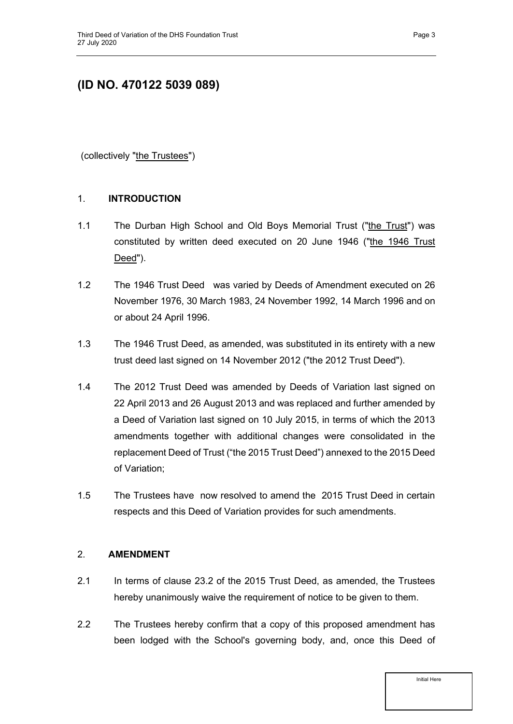# **(ID NO. 470122 5039 089)**

(collectively "the Trustees")

#### <span id="page-2-0"></span>1. **INTRODUCTION**

- 1.1 The Durban High School and Old Boys Memorial Trust ("the Trust") was constituted by written deed executed on 20 June 1946 ("the 1946 Trust Deed").
- 1.2 The 1946 Trust Deed was varied by Deeds of Amendment executed on 26 November 1976, 30 March 1983, 24 November 1992, 14 March 1996 and on or about 24 April 1996.
- 1.3 The 1946 Trust Deed, as amended, was substituted in its entirety with a new trust deed last signed on 14 November 2012 ("the 2012 Trust Deed").
- 1.4 The 2012 Trust Deed was amended by Deeds of Variation last signed on 22 April 2013 and 26 August 2013 and was replaced and further amended by a Deed of Variation last signed on 10 July 2015, in terms of which the 2013 amendments together with additional changes were consolidated in the replacement Deed of Trust ("the 2015 Trust Deed") annexed to the 2015 Deed of Variation;
- 1.5 The Trustees have now resolved to amend the 2015 Trust Deed in certain respects and this Deed of Variation provides for such amendments.

#### <span id="page-2-1"></span>2. **AMENDMENT**

- 2.1 In terms of clause 23.2 of the 2015 Trust Deed, as amended, the Trustees hereby unanimously waive the requirement of notice to be given to them.
- 2.2 The Trustees hereby confirm that a copy of this proposed amendment has been lodged with the School's governing body, and, once this Deed of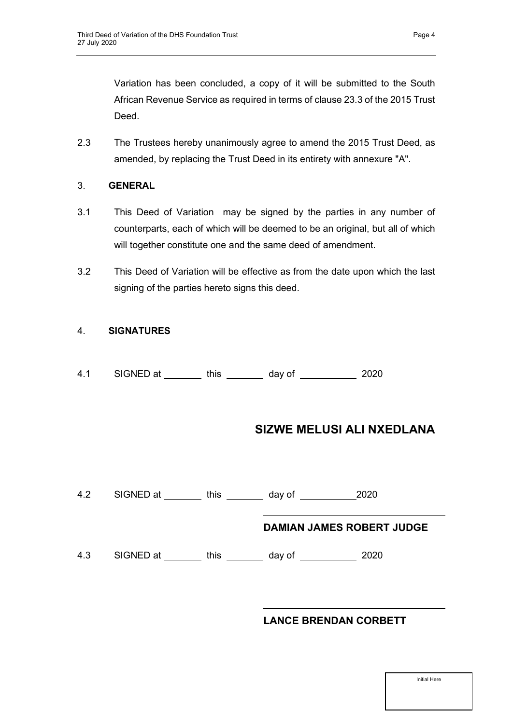Variation has been concluded, a copy of it will be submitted to the South African Revenue Service as required in terms of clause 23.3 of the 2015 Trust Deed.

2.3 The Trustees hereby unanimously agree to amend the 2015 Trust Deed, as amended, by replacing the Trust Deed in its entirety with annexure "A".

#### <span id="page-3-0"></span>3. **GENERAL**

- 3.1 This Deed of Variation may be signed by the parties in any number of counterparts, each of which will be deemed to be an original, but all of which will together constitute one and the same deed of amendment.
- 3.2 This Deed of Variation will be effective as from the date upon which the last signing of the parties hereto signs this deed.

#### 4. **SIGNATURES**

| 4.1 | SIGNED at | this | day of | 2020 |
|-----|-----------|------|--------|------|
|-----|-----------|------|--------|------|

### **SIZWE MELUSI ALI NXEDLANA**

4.2 SIGNED at \_\_\_\_\_\_\_\_ this \_\_\_\_\_\_\_ day of \_\_\_\_\_\_\_\_\_ 2020

#### **DAMIAN JAMES ROBERT JUDGE**

4.3 SIGNED at \_\_\_\_\_\_\_\_ this \_\_\_\_\_\_\_ day of \_\_\_\_\_\_\_\_\_\_\_ 2020

#### **LANCE BRENDAN CORBETT**

| Initial Here |
|--------------|
|              |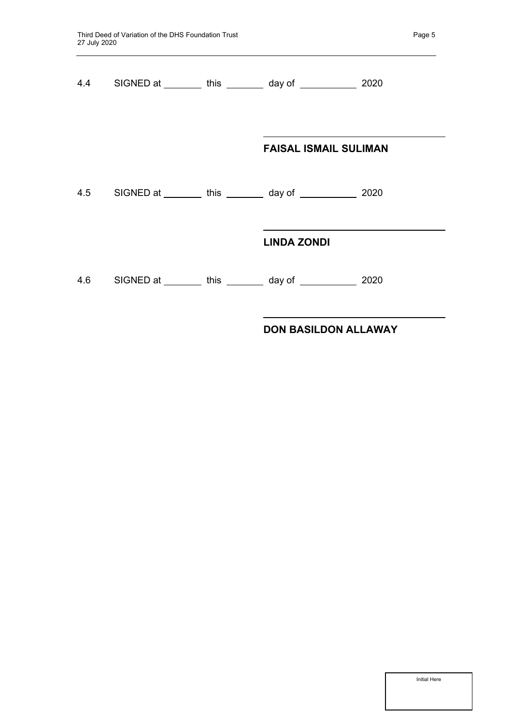|  | 4.4 SIGNED at ________ this ________ day of ____________ 2020 |      |
|--|---------------------------------------------------------------|------|
|  | <b>FAISAL ISMAIL SULIMAN</b>                                  |      |
|  | 4.5 SIGNED at ________ this ________ day of ____________ 2020 |      |
|  | <b>LINDA ZONDI</b>                                            |      |
|  | 4.6 SIGNED at ________ this ________ day of __________        | 2020 |

### **DON BASILDON ALLAWAY**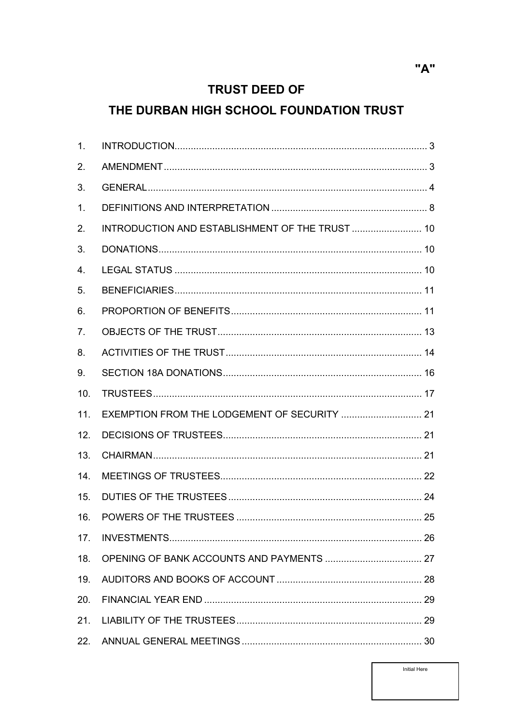# **TRUST DEED OF**

# THE DURBAN HIGH SCHOOL FOUNDATION TRUST

| 1 <sub>1</sub> |                                                 |  |
|----------------|-------------------------------------------------|--|
| 2.             |                                                 |  |
| 3.             |                                                 |  |
| 1.             |                                                 |  |
| 2.             | INTRODUCTION AND ESTABLISHMENT OF THE TRUST  10 |  |
| 3.             |                                                 |  |
| 4.             |                                                 |  |
| 5.             |                                                 |  |
| 6.             |                                                 |  |
| 7.             |                                                 |  |
| 8.             |                                                 |  |
| 9.             |                                                 |  |
| 10.            |                                                 |  |
| 11.            | EXEMPTION FROM THE LODGEMENT OF SECURITY  21    |  |
| 12.            |                                                 |  |
| 13.            |                                                 |  |
| 14.            |                                                 |  |
| 15.            |                                                 |  |
| 16.            |                                                 |  |
| 17.            |                                                 |  |
| 18.            |                                                 |  |
| 19.            |                                                 |  |
| 20.            |                                                 |  |
| 21.            |                                                 |  |
| 22.            |                                                 |  |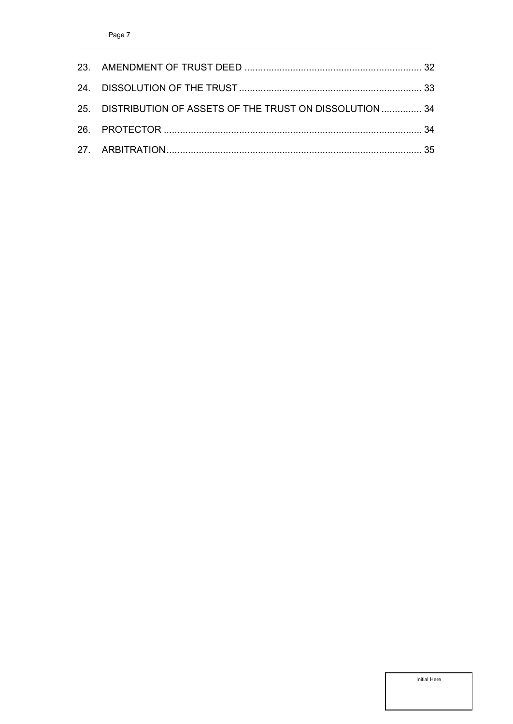| 25. DISTRIBUTION OF ASSETS OF THE TRUST ON DISSOLUTION  34 |  |
|------------------------------------------------------------|--|
|                                                            |  |
|                                                            |  |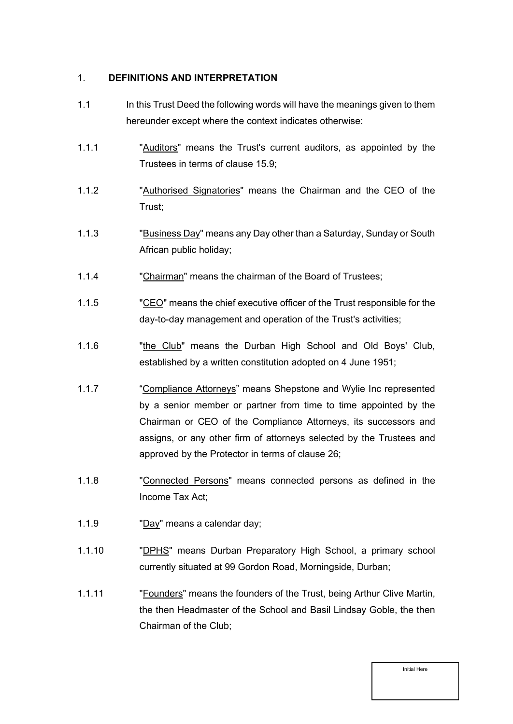#### <span id="page-7-0"></span>1. **DEFINITIONS AND INTERPRETATION**

- 1.1 In this Trust Deed the following words will have the meanings given to them hereunder except where the context indicates otherwise:
- 1.1.1 "Auditors" means the Trust's current auditors, as appointed by the Trustees in terms of clause [15.9;](#page-23-1)
- 1.1.2 "Authorised Signatories" means the Chairman and the CEO of the Trust;
- 1.1.3 "Business Day" means any Day other than a Saturday, Sunday or South African public holiday;
- 1.1.4 "Chairman" means the chairman of the Board of Trustees;
- 1.1.5 "CEO" means the chief executive officer of the Trust responsible for the day-to-day management and operation of the Trust's activities;
- 1.1.6 "The Club" means the Durban High School and Old Boys' Club, established by a written constitution adopted on 4 June 1951;
- 1.1.7 "Compliance Attorneys" means Shepstone and Wylie Inc represented by a senior member or partner from time to time appointed by the Chairman or CEO of the Compliance Attorneys, its successors and assigns, or any other firm of attorneys selected by the Trustees and approved by the Protector in terms of clause [26;](#page-33-1)
- 1.1.8 "Connected Persons" means connected persons as defined in the Income Tax Act;
- 1.1.9 "Day" means a calendar day;
- 1.1.10 "DPHS" means Durban Preparatory High School, a primary school currently situated at 99 Gordon Road, Morningside, Durban;
- 1.1.11 "Founders" means the founders of the Trust, being Arthur Clive Martin, the then Headmaster of the School and Basil Lindsay Goble, the then Chairman of the Club;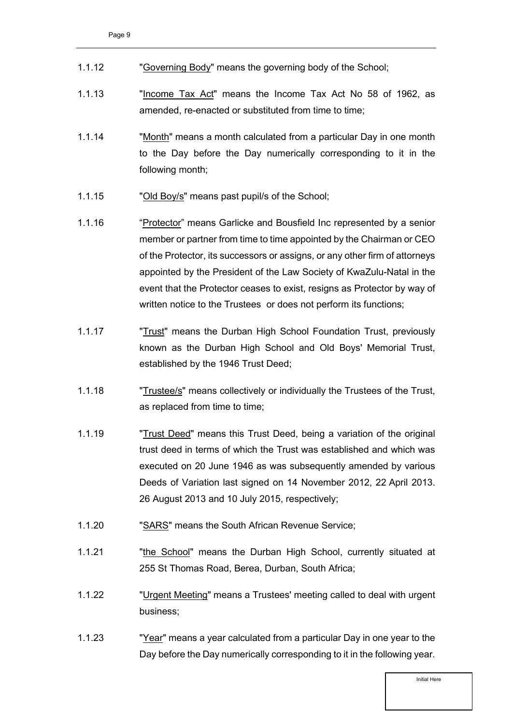| 1.1.12 | "Governing Body" means the governing body of the School; |  |  |
|--------|----------------------------------------------------------|--|--|
|        |                                                          |  |  |

- 1.1.13 "Income Tax Act" means the Income Tax Act No 58 of 1962, as amended, re-enacted or substituted from time to time;
- 1.1.14 "Month" means a month calculated from a particular Day in one month to the Day before the Day numerically corresponding to it in the following month;
- 1.1.15 "Old Boy/s" means past pupil/s of the School;
- 1.1.16 "Protector" means Garlicke and Bousfield Inc represented by a senior member or partner from time to time appointed by the Chairman or CEO of the Protector, its successors or assigns, or any other firm of attorneys appointed by the President of the Law Society of KwaZulu-Natal in the event that the Protector ceases to exist, resigns as Protector by way of written notice to the Trustees or does not perform its functions;
- 1.1.17 **"Trust"** means the Durban High School Foundation Trust, previously known as the Durban High School and Old Boys' Memorial Trust, established by the 1946 Trust Deed;
- 1.1.18 "Trustee/s" means collectively or individually the Trustees of the Trust, as replaced from time to time;
- 1.1.19 "Trust Deed" means this Trust Deed, being a variation of the original trust deed in terms of which the Trust was established and which was executed on 20 June 1946 as was subsequently amended by various Deeds of Variation last signed on 14 November 2012, 22 April 2013. 26 August 2013 and 10 July 2015, respectively;
- 1.1.20 "SARS" means the South African Revenue Service;
- 1.1.21 "The School" means the Durban High School, currently situated at 255 St Thomas Road, Berea, Durban, South Africa;
- 1.1.22 "Urgent Meeting" means a Trustees' meeting called to deal with urgent business;
- 1.1.23 "Year" means a year calculated from a particular Day in one year to the Day before the Day numerically corresponding to it in the following year.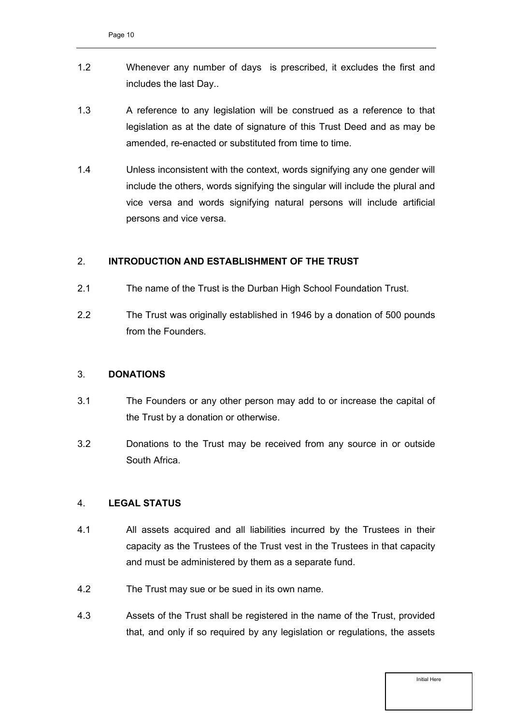- 1.2 Whenever any number of days is prescribed, it excludes the first and includes the last Day..
- 1.3 A reference to any legislation will be construed as a reference to that legislation as at the date of signature of this Trust Deed and as may be amended, re-enacted or substituted from time to time.
- 1.4 Unless inconsistent with the context, words signifying any one gender will include the others, words signifying the singular will include the plural and vice versa and words signifying natural persons will include artificial persons and vice versa.

#### <span id="page-9-0"></span>2. **INTRODUCTION AND ESTABLISHMENT OF THE TRUST**

- 2.1 The name of the Trust is the Durban High School Foundation Trust.
- 2.2 The Trust was originally established in 1946 by a donation of 500 pounds from the Founders.

#### <span id="page-9-1"></span>3. **DONATIONS**

- 3.1 The Founders or any other person may add to or increase the capital of the Trust by a donation or otherwise.
- 3.2 Donations to the Trust may be received from any source in or outside South Africa.

#### <span id="page-9-2"></span>4. **LEGAL STATUS**

- 4.1 All assets acquired and all liabilities incurred by the Trustees in their capacity as the Trustees of the Trust vest in the Trustees in that capacity and must be administered by them as a separate fund.
- 4.2 The Trust may sue or be sued in its own name.
- 4.3 Assets of the Trust shall be registered in the name of the Trust, provided that, and only if so required by any legislation or regulations, the assets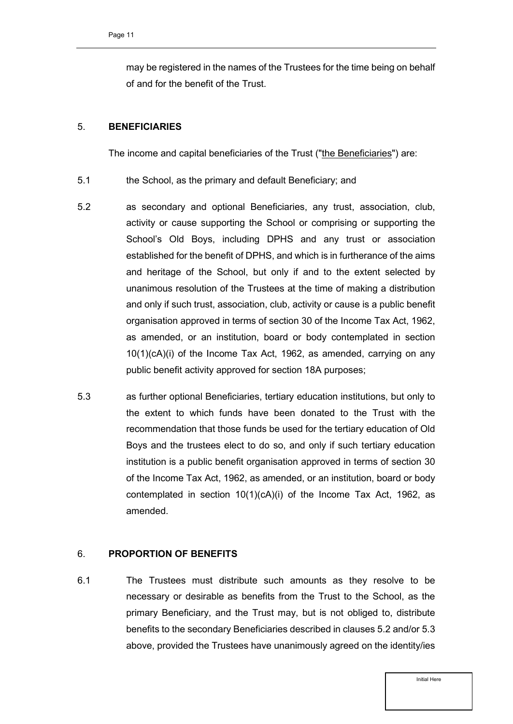may be registered in the names of the Trustees for the time being on behalf of and for the benefit of the Trust.

#### <span id="page-10-0"></span>5. **BENEFICIARIES**

The income and capital beneficiaries of the Trust ("the Beneficiaries") are:

- 5.1 the School, as the primary and default Beneficiary; and
- <span id="page-10-3"></span>5.2 as secondary and optional Beneficiaries, any trust, association, club, activity or cause supporting the School or comprising or supporting the School's Old Boys, including DPHS and any trust or association established for the benefit of DPHS, and which is in furtherance of the aims and heritage of the School, but only if and to the extent selected by unanimous resolution of the Trustees at the time of making a distribution and only if such trust, association, club, activity or cause is a public benefit organisation approved in terms of section 30 of the Income Tax Act, 1962, as amended, or an institution, board or body contemplated in section 10(1)(cA)(i) of the Income Tax Act, 1962, as amended, carrying on any public benefit activity approved for section 18A purposes;
- 5.3 as further optional Beneficiaries, tertiary education institutions, but only to the extent to which funds have been donated to the Trust with the recommendation that those funds be used for the tertiary education of Old Boys and the trustees elect to do so, and only if such tertiary education institution is a public benefit organisation approved in terms of section 30 of the Income Tax Act, 1962, as amended, or an institution, board or body contemplated in section 10(1)(cA)(i) of the Income Tax Act, 1962, as amended.

#### <span id="page-10-1"></span>6. **PROPORTION OF BENEFITS**

<span id="page-10-2"></span>6.1 The Trustees must distribute such amounts as they resolve to be necessary or desirable as benefits from the Trust to the School, as the primary Beneficiary, and the Trust may, but is not obliged to, distribute benefits to the secondary Beneficiaries described in clauses 5.2 and/or 5.3 above, provided the Trustees have unanimously agreed on the identity/ies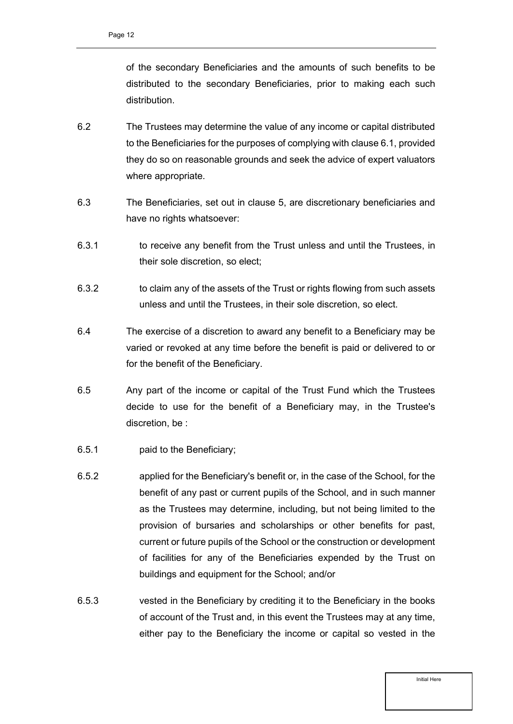of the secondary Beneficiaries and the amounts of such benefits to be distributed to the secondary Beneficiaries, prior to making each such distribution.

- 6.2 The Trustees may determine the value of any income or capital distributed to the Beneficiaries for the purposes of complying with clause [6.1,](#page-10-2) provided they do so on reasonable grounds and seek the advice of expert valuators where appropriate.
- 6.3 The Beneficiaries, set out in clause 5, are discretionary beneficiaries and have no rights whatsoever:
- 6.3.1 to receive any benefit from the Trust unless and until the Trustees, in their sole discretion, so elect;
- 6.3.2 to claim any of the assets of the Trust or rights flowing from such assets unless and until the Trustees, in their sole discretion, so elect.
- 6.4 The exercise of a discretion to award any benefit to a Beneficiary may be varied or revoked at any time before the benefit is paid or delivered to or for the benefit of the Beneficiary.
- 6.5 Any part of the income or capital of the Trust Fund which the Trustees decide to use for the benefit of a Beneficiary may, in the Trustee's discretion, be :
- 6.5.1 paid to the Beneficiary;
- 6.5.2 applied for the Beneficiary's benefit or, in the case of the School, for the benefit of any past or current pupils of the School, and in such manner as the Trustees may determine, including, but not being limited to the provision of bursaries and scholarships or other benefits for past, current or future pupils of the School or the construction or development of facilities for any of the Beneficiaries expended by the Trust on buildings and equipment for the School; and/or
- 6.5.3 vested in the Beneficiary by crediting it to the Beneficiary in the books of account of the Trust and, in this event the Trustees may at any time, either pay to the Beneficiary the income or capital so vested in the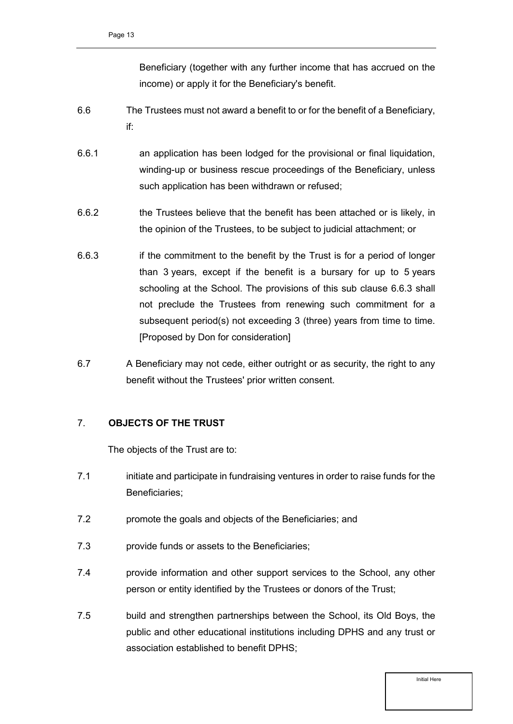Beneficiary (together with any further income that has accrued on the income) or apply it for the Beneficiary's benefit.

- 6.6 The Trustees must not award a benefit to or for the benefit of a Beneficiary, if:
- 6.6.1 an application has been lodged for the provisional or final liquidation, winding-up or business rescue proceedings of the Beneficiary, unless such application has been withdrawn or refused;
- 6.6.2 the Trustees believe that the benefit has been attached or is likely, in the opinion of the Trustees, to be subject to judicial attachment; or
- 6.6.3 if the commitment to the benefit by the Trust is for a period of longer than 3 years, except if the benefit is a bursary for up to 5 years schooling at the School. The provisions of this sub clause 6.6.3 shall not preclude the Trustees from renewing such commitment for a subsequent period(s) not exceeding 3 (three) years from time to time. [Proposed by Don for consideration]
- 6.7 A Beneficiary may not cede, either outright or as security, the right to any benefit without the Trustees' prior written consent.

#### <span id="page-12-0"></span>7. **OBJECTS OF THE TRUST**

The objects of the Trust are to:

- 7.1 initiate and participate in fundraising ventures in order to raise funds for the Beneficiaries;
- 7.2 promote the goals and objects of the Beneficiaries; and
- 7.3 provide funds or assets to the Beneficiaries;
- 7.4 provide information and other support services to the School, any other person or entity identified by the Trustees or donors of the Trust;
- 7.5 build and strengthen partnerships between the School, its Old Boys, the public and other educational institutions including DPHS and any trust or association established to benefit DPHS;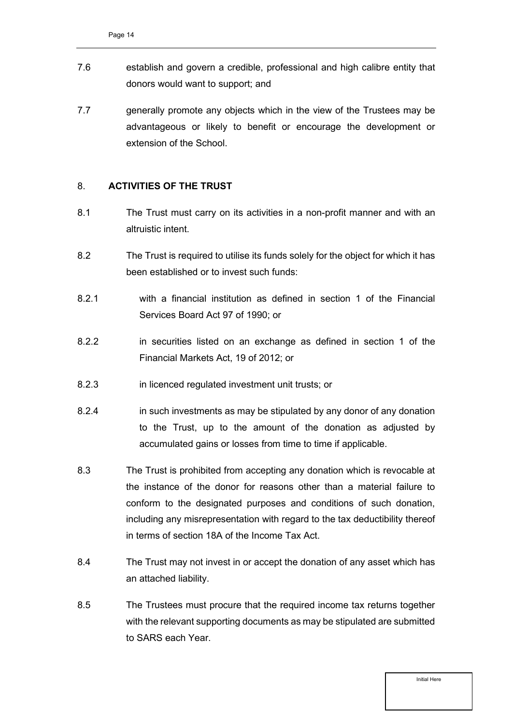- 7.6 establish and govern a credible, professional and high calibre entity that donors would want to support; and
- 7.7 generally promote any objects which in the view of the Trustees may be advantageous or likely to benefit or encourage the development or extension of the School.

#### <span id="page-13-0"></span>8. **ACTIVITIES OF THE TRUST**

- 8.1 The Trust must carry on its activities in a non-profit manner and with an altruistic intent.
- <span id="page-13-1"></span>8.2 The Trust is required to utilise its funds solely for the object for which it has been established or to invest such funds:
- 8.2.1 with a financial institution as defined in section 1 of the Financial Services Board Act 97 of 1990; or
- 8.2.2 in securities listed on an exchange as defined in section 1 of the Financial Markets Act, 19 of 2012; or
- 8.2.3 in licenced regulated investment unit trusts; or
- <span id="page-13-2"></span>8.2.4 in such investments as may be stipulated by any donor of any donation to the Trust, up to the amount of the donation as adjusted by accumulated gains or losses from time to time if applicable.
- 8.3 The Trust is prohibited from accepting any donation which is revocable at the instance of the donor for reasons other than a material failure to conform to the designated purposes and conditions of such donation, including any misrepresentation with regard to the tax deductibility thereof in terms of section 18A of the Income Tax Act.
- 8.4 The Trust may not invest in or accept the donation of any asset which has an attached liability.
- 8.5 The Trustees must procure that the required income tax returns together with the relevant supporting documents as may be stipulated are submitted to SARS each Year.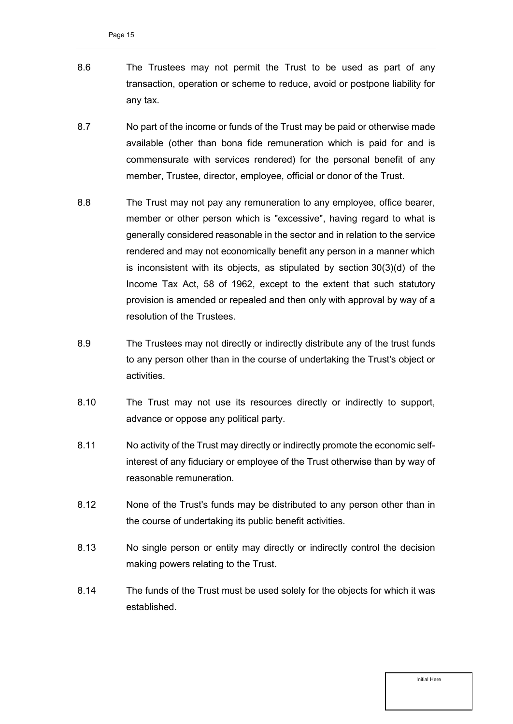- 8.6 The Trustees may not permit the Trust to be used as part of any transaction, operation or scheme to reduce, avoid or postpone liability for any tax.
- 8.7 No part of the income or funds of the Trust may be paid or otherwise made available (other than bona fide remuneration which is paid for and is commensurate with services rendered) for the personal benefit of any member, Trustee, director, employee, official or donor of the Trust.
- <span id="page-14-0"></span>8.8 The Trust may not pay any remuneration to any employee, office bearer, member or other person which is "excessive", having regard to what is generally considered reasonable in the sector and in relation to the service rendered and may not economically benefit any person in a manner which is inconsistent with its objects, as stipulated by section 30(3)(d) of the Income Tax Act, 58 of 1962, except to the extent that such statutory provision is amended or repealed and then only with approval by way of a resolution of the Trustees.
- 8.9 The Trustees may not directly or indirectly distribute any of the trust funds to any person other than in the course of undertaking the Trust's object or activities.
- 8.10 The Trust may not use its resources directly or indirectly to support, advance or oppose any political party.
- 8.11 No activity of the Trust may directly or indirectly promote the economic selfinterest of any fiduciary or employee of the Trust otherwise than by way of reasonable remuneration.
- 8.12 None of the Trust's funds may be distributed to any person other than in the course of undertaking its public benefit activities.
- 8.13 No single person or entity may directly or indirectly control the decision making powers relating to the Trust.
- 8.14 The funds of the Trust must be used solely for the objects for which it was established.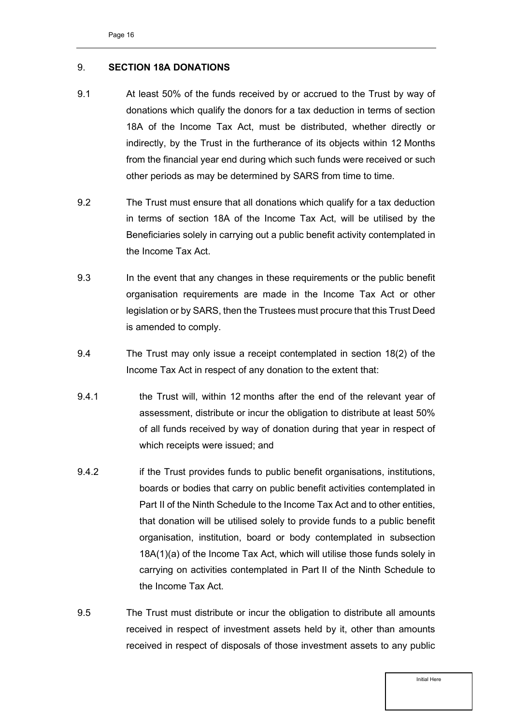#### <span id="page-15-0"></span>9. **SECTION 18A DONATIONS**

- 9.1 At least 50% of the funds received by or accrued to the Trust by way of donations which qualify the donors for a tax deduction in terms of section 18A of the Income Tax Act, must be distributed, whether directly or indirectly, by the Trust in the furtherance of its objects within 12 Months from the financial year end during which such funds were received or such other periods as may be determined by SARS from time to time.
- 9.2 The Trust must ensure that all donations which qualify for a tax deduction in terms of section 18A of the Income Tax Act, will be utilised by the Beneficiaries solely in carrying out a public benefit activity contemplated in the Income Tax Act.
- 9.3 In the event that any changes in these requirements or the public benefit organisation requirements are made in the Income Tax Act or other legislation or by SARS, then the Trustees must procure that this Trust Deed is amended to comply.
- 9.4 The Trust may only issue a receipt contemplated in section 18(2) of the Income Tax Act in respect of any donation to the extent that:
- 9.4.1 the Trust will, within 12 months after the end of the relevant year of assessment, distribute or incur the obligation to distribute at least 50% of all funds received by way of donation during that year in respect of which receipts were issued; and
- 9.4.2 if the Trust provides funds to public benefit organisations, institutions, boards or bodies that carry on public benefit activities contemplated in Part II of the Ninth Schedule to the Income Tax Act and to other entities, that donation will be utilised solely to provide funds to a public benefit organisation, institution, board or body contemplated in [subsection](https://www.mylexisnexis.co.za/Library/IframeContent.aspx?dpath=zb/jilc/kilc/alrg/ulrg/0ds6c/ntw6c&ismultiview=False&caAu=#gkf4)  [18A\(1\)\(a\)](https://www.mylexisnexis.co.za/Library/IframeContent.aspx?dpath=zb/jilc/kilc/alrg/ulrg/0ds6c/ntw6c&ismultiview=False&caAu=#gkf4) of the Income Tax Act, which will utilise those funds solely in carrying on activities contemplated in Part II of the Ninth Schedule to the Income Tax Act.
- 9.5 The Trust must distribute or incur the obligation to distribute all amounts received in respect of investment assets held by it, other than amounts received in respect of disposals of those investment assets to any public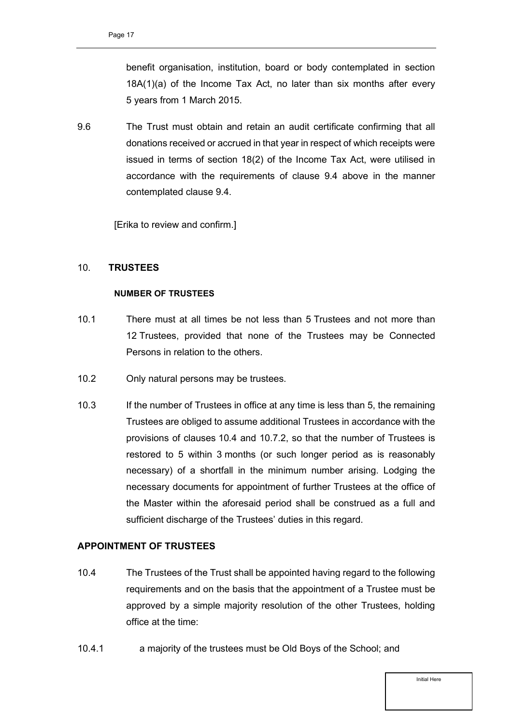benefit organisation, institution, board or body contemplated in section 18A(1)(a) of the Income Tax Act, no later than six months after every 5 years from 1 March 2015.

9.6 The Trust must obtain and retain an audit certificate confirming that all donations received or accrued in that year in respect of which receipts were issued in terms of section 18(2) of the Income Tax Act, were utilised in accordance with the requirements of clause 9.4 above in the manner contemplated clause 9.4.

[Erika to review and confirm.]

#### <span id="page-16-0"></span>10. **TRUSTEES**

#### **NUMBER OF TRUSTEES**

- <span id="page-16-2"></span>10.1 There must at all times be not less than 5 Trustees and not more than 12 Trustees, provided that none of the Trustees may be Connected Persons in relation to the others.
- <span id="page-16-3"></span>10.2 Only natural persons may be trustees.
- 10.3 If the number of Trustees in office at any time is less than 5, the remaining Trustees are obliged to assume additional Trustees in accordance with the provisions of clauses [10.4](#page-16-1) and [10.7.2,](#page-17-0) so that the number of Trustees is restored to 5 within 3 months (or such longer period as is reasonably necessary) of a shortfall in the minimum number arising. Lodging the necessary documents for appointment of further Trustees at the office of the Master within the aforesaid period shall be construed as a full and sufficient discharge of the Trustees' duties in this regard.

#### **APPOINTMENT OF TRUSTEES**

- <span id="page-16-1"></span>10.4 The Trustees of the Trust shall be appointed having regard to the following requirements and on the basis that the appointment of a Trustee must be approved by a simple majority resolution of the other Trustees, holding office at the time:
- 10.4.1 a majority of the trustees must be Old Boys of the School; and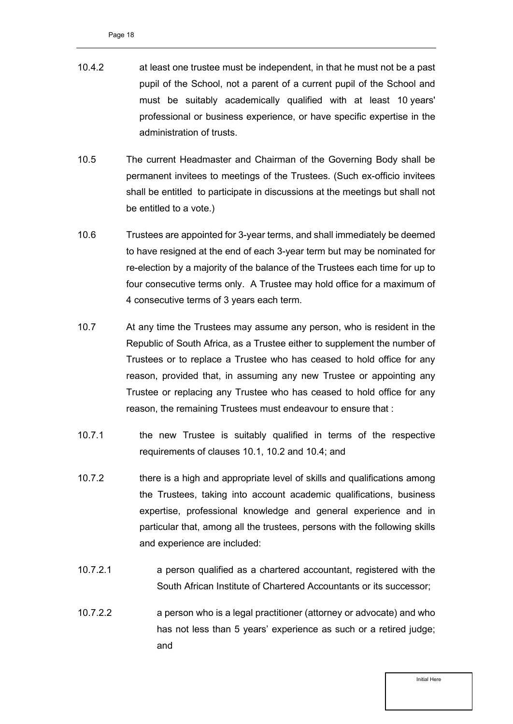- <span id="page-17-1"></span>10.4.2 at least one trustee must be independent, in that he must not be a past pupil of the School, not a parent of a current pupil of the School and must be suitably academically qualified with at least 10 years' professional or business experience, or have specific expertise in the administration of trusts.
- 10.5 The current Headmaster and Chairman of the Governing Body shall be permanent invitees to meetings of the Trustees. (Such ex-officio invitees shall be entitled to participate in discussions at the meetings but shall not be entitled to a vote.)
- 10.6 Trustees are appointed for 3-year terms, and shall immediately be deemed to have resigned at the end of each 3-year term but may be nominated for re-election by a majority of the balance of the Trustees each time for up to four consecutive terms only. A Trustee may hold office for a maximum of 4 consecutive terms of 3 years each term.
- 10.7 At any time the Trustees may assume any person, who is resident in the Republic of South Africa, as a Trustee either to supplement the number of Trustees or to replace a Trustee who has ceased to hold office for any reason, provided that, in assuming any new Trustee or appointing any Trustee or replacing any Trustee who has ceased to hold office for any reason, the remaining Trustees must endeavour to ensure that :
- 10.7.1 the new Trustee is suitably qualified in terms of the respective requirements of clauses [10.1,](#page-16-2) [10.2](#page-16-3) and [10.4;](#page-16-1) and
- <span id="page-17-0"></span>10.7.2 there is a high and appropriate level of skills and qualifications among the Trustees, taking into account academic qualifications, business expertise, professional knowledge and general experience and in particular that, among all the trustees, persons with the following skills and experience are included:
- 10.7.2.1 a person qualified as a chartered accountant, registered with the South African Institute of Chartered Accountants or its successor;
- 10.7.2.2 a person who is a legal practitioner (attorney or advocate) and who has not less than 5 years' experience as such or a retired judge; and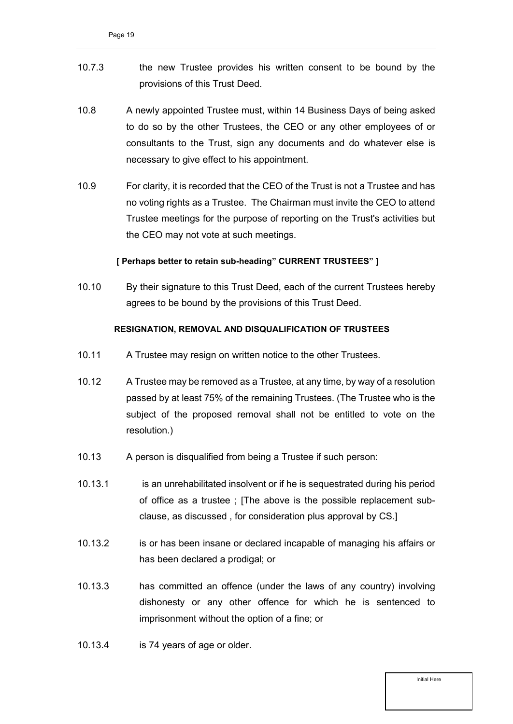- 10.7.3 the new Trustee provides his written consent to be bound by the provisions of this Trust Deed.
- 10.8 A newly appointed Trustee must, within 14 Business Days of being asked to do so by the other Trustees, the CEO or any other employees of or consultants to the Trust, sign any documents and do whatever else is necessary to give effect to his appointment.
- 10.9 For clarity, it is recorded that the CEO of the Trust is not a Trustee and has no voting rights as a Trustee. The Chairman must invite the CEO to attend Trustee meetings for the purpose of reporting on the Trust's activities but the CEO may not vote at such meetings.

#### **[ Perhaps better to retain sub-heading" CURRENT TRUSTEES" ]**

10.10 By their signature to this Trust Deed, each of the current Trustees hereby agrees to be bound by the provisions of this Trust Deed.

#### **RESIGNATION, REMOVAL AND DISQUALIFICATION OF TRUSTEES**

- <span id="page-18-0"></span>10.11 A Trustee may resign on written notice to the other Trustees.
- 10.12 A Trustee may be removed as a Trustee, at any time, by way of a resolution passed by at least 75% of the remaining Trustees. (The Trustee who is the subject of the proposed removal shall not be entitled to vote on the resolution.)
- 10.13 A person is disqualified from being a Trustee if such person:
- 10.13.1 is an unrehabilitated insolvent or if he is sequestrated during his period of office as a trustee ; [The above is the possible replacement subclause, as discussed , for consideration plus approval by CS.]
- 10.13.2 is or has been insane or declared incapable of managing his affairs or has been declared a prodigal; or
- 10.13.3 has committed an offence (under the laws of any country) involving dishonesty or any other offence for which he is sentenced to imprisonment without the option of a fine; or
- 10.13.4 is 74 years of age or older.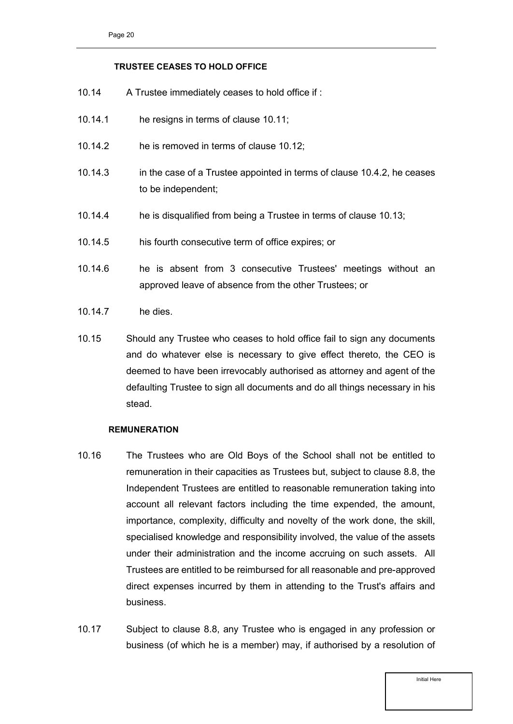#### **TRUSTEE CEASES TO HOLD OFFICE**

- 10.14 A Trustee immediately ceases to hold office if :
- 10.14.1 he resigns in terms of clause [10.11;](#page-18-0)
- 10.14.2 he is removed in terms of clause 10.12;
- 10.14.3 in the case of a Trustee appointed in terms of clause [10.4.2,](#page-17-1) he ceases to be independent;
- 10.14.4 he is disqualified from being a Trustee in terms of clause 10.13;
- 10.14.5 his fourth consecutive term of office expires; or
- 10.14.6 he is absent from 3 consecutive Trustees' meetings without an approved leave of absence from the other Trustees; or
- 10.14.7 he dies.
- 10.15 Should any Trustee who ceases to hold office fail to sign any documents and do whatever else is necessary to give effect thereto, the CEO is deemed to have been irrevocably authorised as attorney and agent of the defaulting Trustee to sign all documents and do all things necessary in his stead.

#### **REMUNERATION**

- 10.16 The Trustees who are Old Boys of the School shall not be entitled to remuneration in their capacities as Trustees but, subject to clause [8.8,](#page-14-0) the Independent Trustees are entitled to reasonable remuneration taking into account all relevant factors including the time expended, the amount, importance, complexity, difficulty and novelty of the work done, the skill, specialised knowledge and responsibility involved, the value of the assets under their administration and the income accruing on such assets. All Trustees are entitled to be reimbursed for all reasonable and pre-approved direct expenses incurred by them in attending to the Trust's affairs and business.
- 10.17 Subject to clause [8.8,](#page-14-0) any Trustee who is engaged in any profession or business (of which he is a member) may, if authorised by a resolution of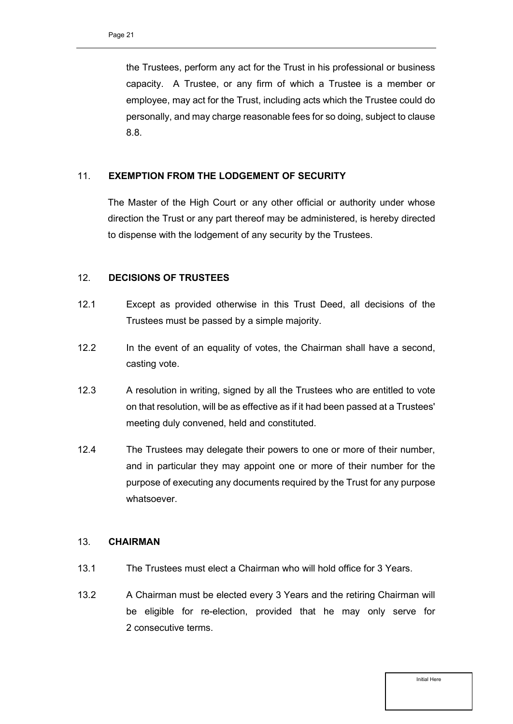the Trustees, perform any act for the Trust in his professional or business capacity. A Trustee, or any firm of which a Trustee is a member or employee, may act for the Trust, including acts which the Trustee could do personally, and may charge reasonable fees for so doing, subject to clause [8.8.](#page-14-0)

#### <span id="page-20-0"></span>11. **EXEMPTION FROM THE LODGEMENT OF SECURITY**

The Master of the High Court or any other official or authority under whose direction the Trust or any part thereof may be administered, is hereby directed to dispense with the lodgement of any security by the Trustees.

#### <span id="page-20-1"></span>12. **DECISIONS OF TRUSTEES**

- 12.1 Except as provided otherwise in this Trust Deed, all decisions of the Trustees must be passed by a simple majority.
- 12.2 In the event of an equality of votes, the Chairman shall have a second, casting vote.
- 12.3 A resolution in writing, signed by all the Trustees who are entitled to vote on that resolution, will be as effective as if it had been passed at a Trustees' meeting duly convened, held and constituted.
- 12.4 The Trustees may delegate their powers to one or more of their number, and in particular they may appoint one or more of their number for the purpose of executing any documents required by the Trust for any purpose whatsoever.

#### <span id="page-20-2"></span>13. **CHAIRMAN**

- 13.1 The Trustees must elect a Chairman who will hold office for 3 Years.
- 13.2 A Chairman must be elected every 3 Years and the retiring Chairman will be eligible for re-election, provided that he may only serve for 2 consecutive terms.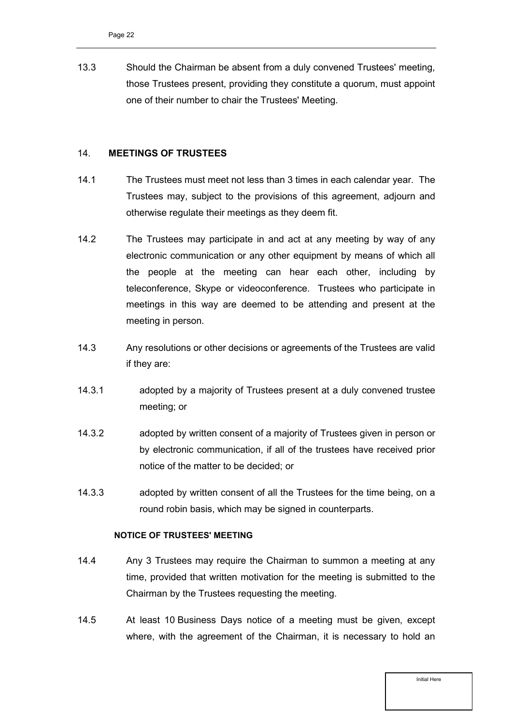13.3 Should the Chairman be absent from a duly convened Trustees' meeting, those Trustees present, providing they constitute a quorum, must appoint one of their number to chair the Trustees' Meeting.

#### <span id="page-21-0"></span>14. **MEETINGS OF TRUSTEES**

- 14.1 The Trustees must meet not less than 3 times in each calendar year. The Trustees may, subject to the provisions of this agreement, adjourn and otherwise regulate their meetings as they deem fit.
- 14.2 The Trustees may participate in and act at any meeting by way of any electronic communication or any other equipment by means of which all the people at the meeting can hear each other, including by teleconference, Skype or videoconference. Trustees who participate in meetings in this way are deemed to be attending and present at the meeting in person.
- 14.3 Any resolutions or other decisions or agreements of the Trustees are valid if they are:
- 14.3.1 adopted by a majority of Trustees present at a duly convened trustee meeting; or
- 14.3.2 adopted by written consent of a majority of Trustees given in person or by electronic communication, if all of the trustees have received prior notice of the matter to be decided; or
- 14.3.3 adopted by written consent of all the Trustees for the time being, on a round robin basis, which may be signed in counterparts.

#### **NOTICE OF TRUSTEES' MEETING**

- 14.4 Any 3 Trustees may require the Chairman to summon a meeting at any time, provided that written motivation for the meeting is submitted to the Chairman by the Trustees requesting the meeting.
- 14.5 At least 10 Business Days notice of a meeting must be given, except where, with the agreement of the Chairman, it is necessary to hold an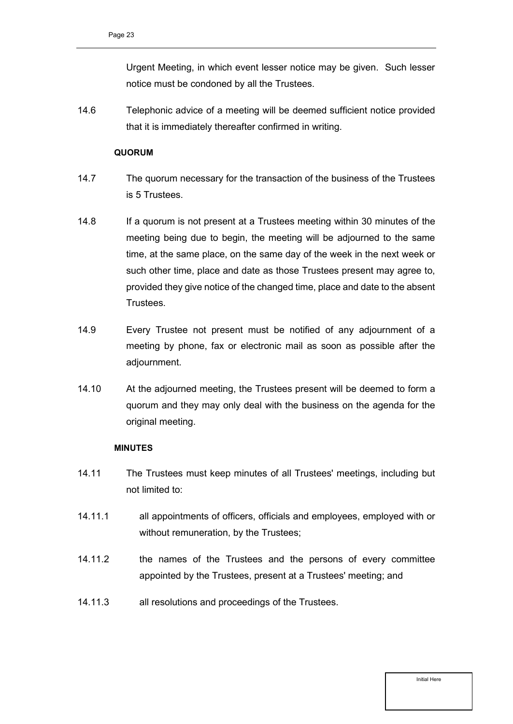Urgent Meeting, in which event lesser notice may be given. Such lesser notice must be condoned by all the Trustees.

14.6 Telephonic advice of a meeting will be deemed sufficient notice provided that it is immediately thereafter confirmed in writing.

#### **QUORUM**

- 14.7 The quorum necessary for the transaction of the business of the Trustees is 5 Trustees.
- 14.8 If a quorum is not present at a Trustees meeting within 30 minutes of the meeting being due to begin, the meeting will be adjourned to the same time, at the same place, on the same day of the week in the next week or such other time, place and date as those Trustees present may agree to, provided they give notice of the changed time, place and date to the absent Trustees.
- 14.9 Every Trustee not present must be notified of any adjournment of a meeting by phone, fax or electronic mail as soon as possible after the adjournment.
- 14.10 At the adjourned meeting, the Trustees present will be deemed to form a quorum and they may only deal with the business on the agenda for the original meeting.

#### **MINUTES**

- 14.11 The Trustees must keep minutes of all Trustees' meetings, including but not limited to:
- 14.11.1 all appointments of officers, officials and employees, employed with or without remuneration, by the Trustees;
- 14.11.2 the names of the Trustees and the persons of every committee appointed by the Trustees, present at a Trustees' meeting; and
- 14.11.3 all resolutions and proceedings of the Trustees.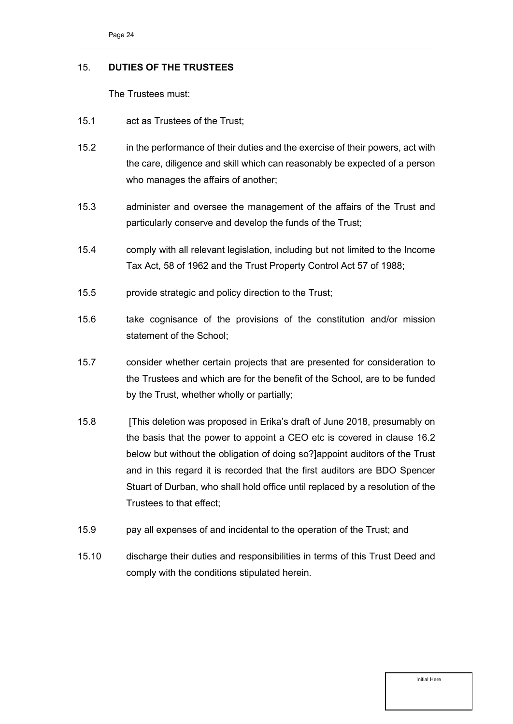#### <span id="page-23-0"></span>15. **DUTIES OF THE TRUSTEES**

The Trustees must:

- 15.1 act as Trustees of the Trust;
- 15.2 in the performance of their duties and the exercise of their powers, act with the care, diligence and skill which can reasonably be expected of a person who manages the affairs of another;
- 15.3 administer and oversee the management of the affairs of the Trust and particularly conserve and develop the funds of the Trust;
- 15.4 comply with all relevant legislation, including but not limited to the Income Tax Act, 58 of 1962 and the Trust Property Control Act 57 of 1988;
- 15.5 provide strategic and policy direction to the Trust;
- 15.6 take cognisance of the provisions of the constitution and/or mission statement of the School;
- 15.7 consider whether certain projects that are presented for consideration to the Trustees and which are for the benefit of the School, are to be funded by the Trust, whether wholly or partially;
- <span id="page-23-1"></span>15.8 [This deletion was proposed in Erika's draft of June 2018, presumably on the basis that the power to appoint a CEO etc is covered in clause 16.2 below but without the obligation of doing so?]appoint auditors of the Trust and in this regard it is recorded that the first auditors are BDO Spencer Stuart of Durban, who shall hold office until replaced by a resolution of the Trustees to that effect;
- 15.9 pay all expenses of and incidental to the operation of the Trust; and
- 15.10 discharge their duties and responsibilities in terms of this Trust Deed and comply with the conditions stipulated herein.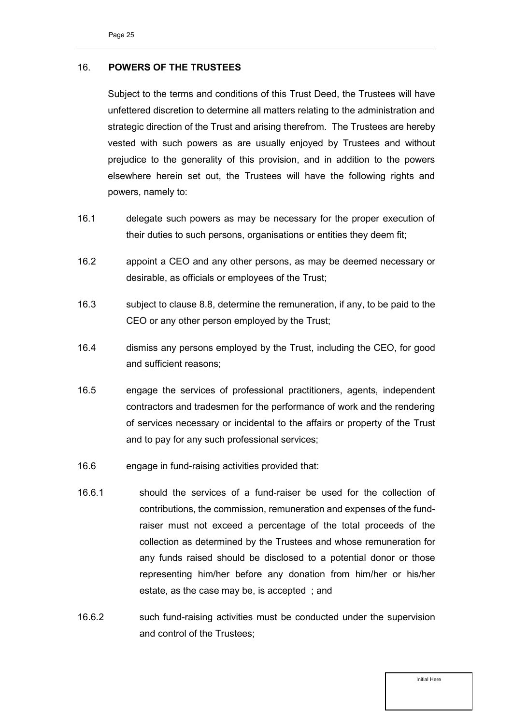#### <span id="page-24-0"></span>16. **POWERS OF THE TRUSTEES**

Subject to the terms and conditions of this Trust Deed, the Trustees will have unfettered discretion to determine all matters relating to the administration and strategic direction of the Trust and arising therefrom. The Trustees are hereby vested with such powers as are usually enjoyed by Trustees and without prejudice to the generality of this provision, and in addition to the powers elsewhere herein set out, the Trustees will have the following rights and powers, namely to:

- 16.1 delegate such powers as may be necessary for the proper execution of their duties to such persons, organisations or entities they deem fit;
- 16.2 appoint a CEO and any other persons, as may be deemed necessary or desirable, as officials or employees of the Trust;
- 16.3 subject to clause [8.8,](#page-14-0) determine the remuneration, if any, to be paid to the CEO or any other person employed by the Trust;
- 16.4 dismiss any persons employed by the Trust, including the CEO, for good and sufficient reasons;
- 16.5 engage the services of professional practitioners, agents, independent contractors and tradesmen for the performance of work and the rendering of services necessary or incidental to the affairs or property of the Trust and to pay for any such professional services;
- 16.6 engage in fund-raising activities provided that:
- 16.6.1 should the services of a fund-raiser be used for the collection of contributions, the commission, remuneration and expenses of the fundraiser must not exceed a percentage of the total proceeds of the collection as determined by the Trustees and whose remuneration for any funds raised should be disclosed to a potential donor or those representing him/her before any donation from him/her or his/her estate, as the case may be, is accepted ; and
- 16.6.2 such fund-raising activities must be conducted under the supervision and control of the Trustees;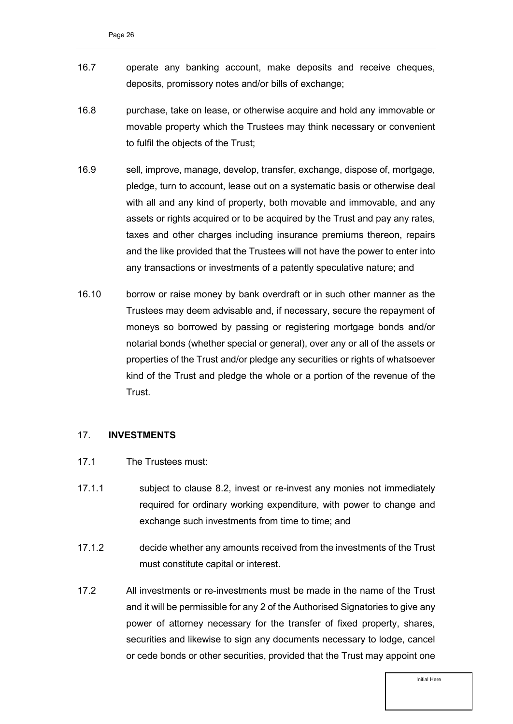- 16.7 operate any banking account, make deposits and receive cheques, deposits, promissory notes and/or bills of exchange;
- 16.8 purchase, take on lease, or otherwise acquire and hold any immovable or movable property which the Trustees may think necessary or convenient to fulfil the objects of the Trust;
- 16.9 sell, improve, manage, develop, transfer, exchange, dispose of, mortgage, pledge, turn to account, lease out on a systematic basis or otherwise deal with all and any kind of property, both movable and immovable, and any assets or rights acquired or to be acquired by the Trust and pay any rates, taxes and other charges including insurance premiums thereon, repairs and the like provided that the Trustees will not have the power to enter into any transactions or investments of a patently speculative nature; and
- 16.10 borrow or raise money by bank overdraft or in such other manner as the Trustees may deem advisable and, if necessary, secure the repayment of moneys so borrowed by passing or registering mortgage bonds and/or notarial bonds (whether special or general), over any or all of the assets or properties of the Trust and/or pledge any securities or rights of whatsoever kind of the Trust and pledge the whole or a portion of the revenue of the **Trust**

#### <span id="page-25-0"></span>17. **INVESTMENTS**

- 17.1 The Trustees must:
- 17.1.1 subject to clause [8.2,](#page-13-1) invest or re-invest any monies not immediately required for ordinary working expenditure, with power to change and exchange such investments from time to time; and
- 17.1.2 decide whether any amounts received from the investments of the Trust must constitute capital or interest.
- 17.2 All investments or re-investments must be made in the name of the Trust and it will be permissible for any 2 of the Authorised Signatories to give any power of attorney necessary for the transfer of fixed property, shares, securities and likewise to sign any documents necessary to lodge, cancel or cede bonds or other securities, provided that the Trust may appoint one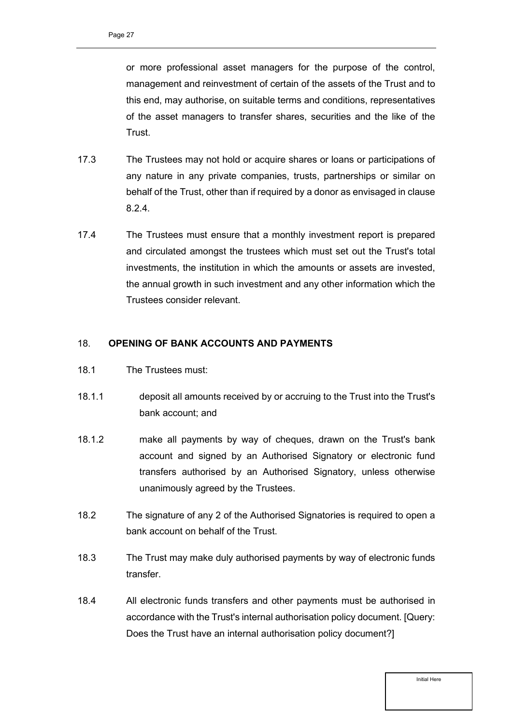or more professional asset managers for the purpose of the control, management and reinvestment of certain of the assets of the Trust and to this end, may authorise, on suitable terms and conditions, representatives of the asset managers to transfer shares, securities and the like of the Trust.

- 17.3 The Trustees may not hold or acquire shares or loans or participations of any nature in any private companies, trusts, partnerships or similar on behalf of the Trust, other than if required by a donor as envisaged in clause [8.2.4.](#page-13-2)
- 17.4 The Trustees must ensure that a monthly investment report is prepared and circulated amongst the trustees which must set out the Trust's total investments, the institution in which the amounts or assets are invested, the annual growth in such investment and any other information which the Trustees consider relevant.

#### <span id="page-26-0"></span>18. **OPENING OF BANK ACCOUNTS AND PAYMENTS**

- 18.1 The Trustees must:
- 18.1.1 deposit all amounts received by or accruing to the Trust into the Trust's bank account; and
- 18.1.2 make all payments by way of cheques, drawn on the Trust's bank account and signed by an Authorised Signatory or electronic fund transfers authorised by an Authorised Signatory, unless otherwise unanimously agreed by the Trustees.
- 18.2 The signature of any 2 of the Authorised Signatories is required to open a bank account on behalf of the Trust.
- 18.3 The Trust may make duly authorised payments by way of electronic funds transfer.
- 18.4 All electronic funds transfers and other payments must be authorised in accordance with the Trust's internal authorisation policy document. [Query: Does the Trust have an internal authorisation policy document?]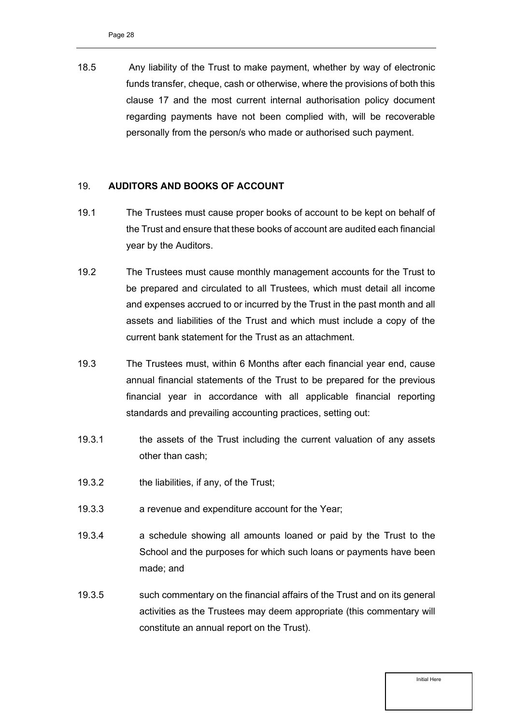18.5 Any liability of the Trust to make payment, whether by way of electronic funds transfer, cheque, cash or otherwise, where the provisions of both this clause 17 and the most current internal authorisation policy document regarding payments have not been complied with, will be recoverable personally from the person/s who made or authorised such payment.

#### <span id="page-27-0"></span>19. **AUDITORS AND BOOKS OF ACCOUNT**

- 19.1 The Trustees must cause proper books of account to be kept on behalf of the Trust and ensure that these books of account are audited each financial year by the Auditors.
- <span id="page-27-1"></span>19.2 The Trustees must cause monthly management accounts for the Trust to be prepared and circulated to all Trustees, which must detail all income and expenses accrued to or incurred by the Trust in the past month and all assets and liabilities of the Trust and which must include a copy of the current bank statement for the Trust as an attachment.
- 19.3 The Trustees must, within 6 Months after each financial year end, cause annual financial statements of the Trust to be prepared for the previous financial year in accordance with all applicable financial reporting standards and prevailing accounting practices, setting out:
- 19.3.1 the assets of the Trust including the current valuation of any assets other than cash;
- 19.3.2 the liabilities, if any, of the Trust;
- 19.3.3 a revenue and expenditure account for the Year;
- 19.3.4 a schedule showing all amounts loaned or paid by the Trust to the School and the purposes for which such loans or payments have been made; and
- 19.3.5 such commentary on the financial affairs of the Trust and on its general activities as the Trustees may deem appropriate (this commentary will constitute an annual report on the Trust).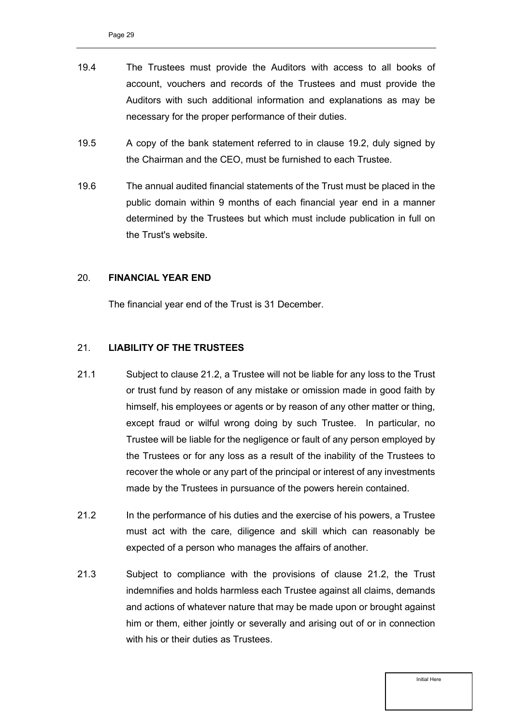- 19.4 The Trustees must provide the Auditors with access to all books of account, vouchers and records of the Trustees and must provide the Auditors with such additional information and explanations as may be necessary for the proper performance of their duties.
- 19.5 A copy of the bank statement referred to in clause [19.2,](#page-27-1) duly signed by the Chairman and the CEO, must be furnished to each Trustee.
- 19.6 The annual audited financial statements of the Trust must be placed in the public domain within 9 months of each financial year end in a manner determined by the Trustees but which must include publication in full on the Trust's website.

#### <span id="page-28-0"></span>20. **FINANCIAL YEAR END**

The financial year end of the Trust is 31 December.

#### <span id="page-28-1"></span>21. **LIABILITY OF THE TRUSTEES**

- 21.1 Subject to clause [21.2,](#page-28-2) a Trustee will not be liable for any loss to the Trust or trust fund by reason of any mistake or omission made in good faith by himself, his employees or agents or by reason of any other matter or thing, except fraud or wilful wrong doing by such Trustee. In particular, no Trustee will be liable for the negligence or fault of any person employed by the Trustees or for any loss as a result of the inability of the Trustees to recover the whole or any part of the principal or interest of any investments made by the Trustees in pursuance of the powers herein contained.
- <span id="page-28-2"></span>21.2 In the performance of his duties and the exercise of his powers, a Trustee must act with the care, diligence and skill which can reasonably be expected of a person who manages the affairs of another.
- 21.3 Subject to compliance with the provisions of clause [21.2,](#page-28-2) the Trust indemnifies and holds harmless each Trustee against all claims, demands and actions of whatever nature that may be made upon or brought against him or them, either jointly or severally and arising out of or in connection with his or their duties as Trustees.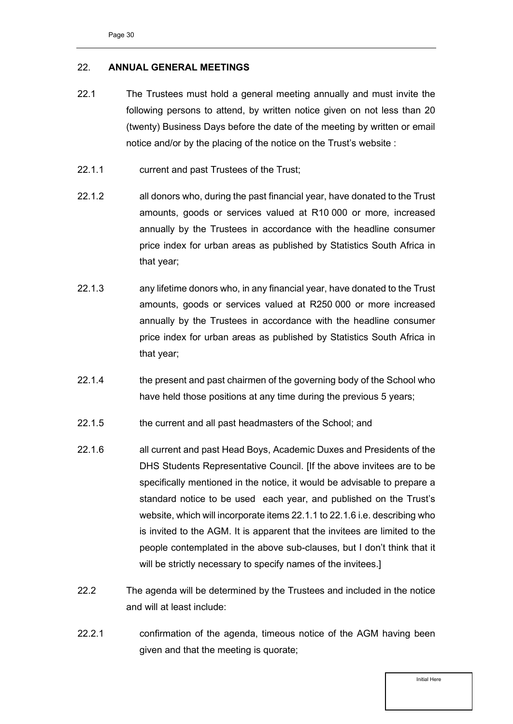#### <span id="page-29-0"></span>22. **ANNUAL GENERAL MEETINGS**

- 22.1 The Trustees must hold a general meeting annually and must invite the following persons to attend, by written notice given on not less than 20 (twenty) Business Days before the date of the meeting by written or email notice and/or by the placing of the notice on the Trust's website :
- 22.1.1 current and past Trustees of the Trust;
- 22.1.2 all donors who, during the past financial year, have donated to the Trust amounts, goods or services valued at R10 000 or more, increased annually by the Trustees in accordance with the headline consumer price index for urban areas as published by Statistics South Africa in that year;
- 22.1.3 any lifetime donors who, in any financial year, have donated to the Trust amounts, goods or services valued at R250 000 or more increased annually by the Trustees in accordance with the headline consumer price index for urban areas as published by Statistics South Africa in that year;
- 22.1.4 the present and past chairmen of the governing body of the School who have held those positions at any time during the previous 5 years;
- 22.1.5 the current and all past headmasters of the School; and
- 22.1.6 all current and past Head Boys, Academic Duxes and Presidents of the DHS Students Representative Council. [If the above invitees are to be specifically mentioned in the notice, it would be advisable to prepare a standard notice to be used each year, and published on the Trust's website, which will incorporate items 22.1.1 to 22.1.6 i.e. describing who is invited to the AGM. It is apparent that the invitees are limited to the people contemplated in the above sub-clauses, but I don't think that it will be strictly necessary to specify names of the invitees.
- 22.2 The agenda will be determined by the Trustees and included in the notice and will at least include:
- 22.2.1 confirmation of the agenda, timeous notice of the AGM having been given and that the meeting is quorate;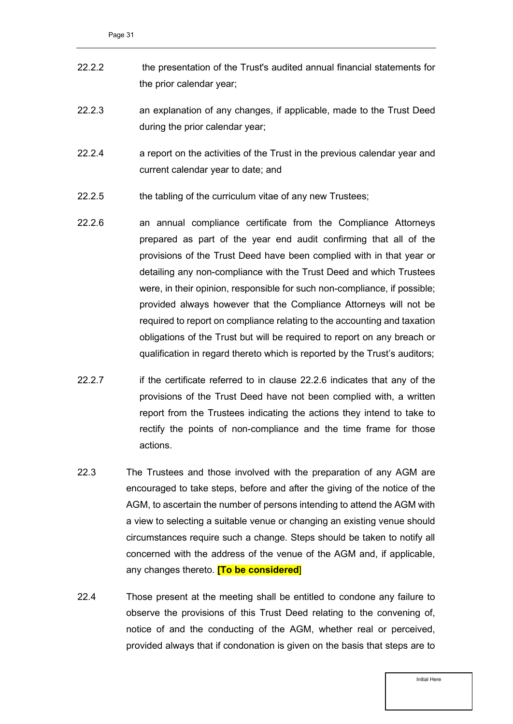- 22.2.2 the presentation of the Trust's audited annual financial statements for the prior calendar year;
- 22.2.3 an explanation of any changes, if applicable, made to the Trust Deed during the prior calendar year;
- 22.2.4 a report on the activities of the Trust in the previous calendar year and current calendar year to date; and
- 22.2.5 the tabling of the curriculum vitae of any new Trustees;
- <span id="page-30-0"></span>22.2.6 an annual compliance certificate from the Compliance Attorneys prepared as part of the year end audit confirming that all of the provisions of the Trust Deed have been complied with in that year or detailing any non-compliance with the Trust Deed and which Trustees were, in their opinion, responsible for such non-compliance, if possible; provided always however that the Compliance Attorneys will not be required to report on compliance relating to the accounting and taxation obligations of the Trust but will be required to report on any breach or qualification in regard thereto which is reported by the Trust's auditors;
- 22.2.7 if the certificate referred to in clause [22.2.6](#page-30-0) indicates that any of the provisions of the Trust Deed have not been complied with, a written report from the Trustees indicating the actions they intend to take to rectify the points of non-compliance and the time frame for those actions.
- 22.3 The Trustees and those involved with the preparation of any AGM are encouraged to take steps, before and after the giving of the notice of the AGM, to ascertain the number of persons intending to attend the AGM with a view to selecting a suitable venue or changing an existing venue should circumstances require such a change. Steps should be taken to notify all concerned with the address of the venue of the AGM and, if applicable, any changes thereto. **[To be considered**]
- 22.4 Those present at the meeting shall be entitled to condone any failure to observe the provisions of this Trust Deed relating to the convening of, notice of and the conducting of the AGM, whether real or perceived, provided always that if condonation is given on the basis that steps are to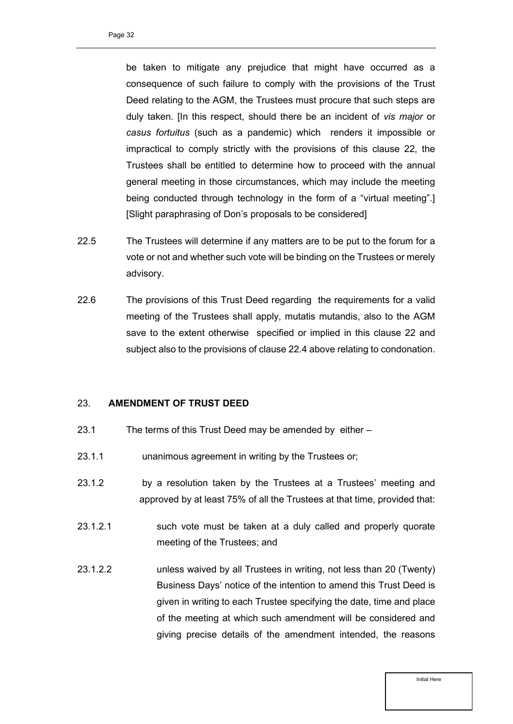be taken to mitigate any prejudice that might have occurred as a consequence of such failure to comply with the provisions of the Trust Deed relating to the AGM, the Trustees must procure that such steps are duly taken. [In this respect, should there be an incident of *vis major* or *casus fortuitus* (such as a pandemic) which renders it impossible or impractical to comply strictly with the provisions of this clause 22, the Trustees shall be entitled to determine how to proceed with the annual general meeting in those circumstances, which may include the meeting being conducted through technology in the form of a "virtual meeting".] [Slight paraphrasing of Don's proposals to be considered]

- 22.5 The Trustees will determine if any matters are to be put to the forum for a vote or not and whether such vote will be binding on the Trustees or merely advisory.
- 22.6 The provisions of this Trust Deed regarding the requirements for a valid meeting of the Trustees shall apply, mutatis mutandis, also to the AGM save to the extent otherwise specified or implied in this clause 22 and subject also to the provisions of clause 22.4 above relating to condonation.

#### <span id="page-31-0"></span>23. **AMENDMENT OF TRUST DEED**

- 23.1 The terms of this Trust Deed may be amended by either –
- 23.1.1 unanimous agreement in writing by the Trustees or;
- 23.1.2 by a resolution taken by the Trustees at a Trustees' meeting and approved by at least 75% of all the Trustees at that time, provided that:
- 23.1.2.1 such vote must be taken at a duly called and properly quorate meeting of the Trustees; and
- 23.1.2.2 unless waived by all Trustees in writing, not less than 20 (Twenty) Business Days' notice of the intention to amend this Trust Deed is given in writing to each Trustee specifying the date, time and place of the meeting at which such amendment will be considered and giving precise details of the amendment intended, the reasons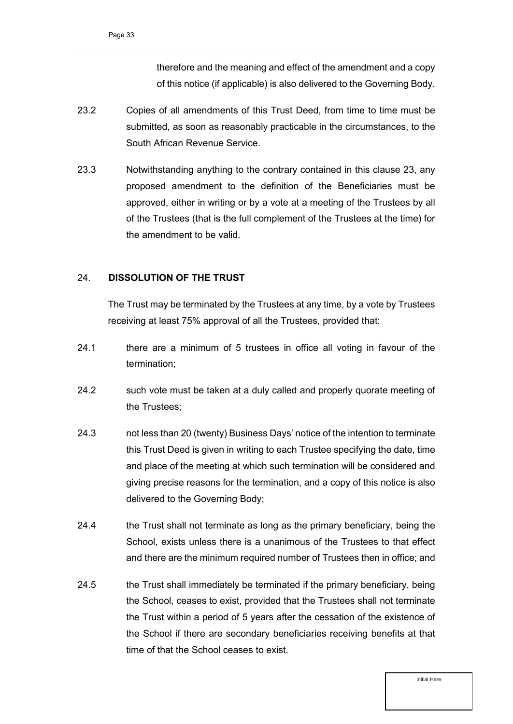therefore and the meaning and effect of the amendment and a copy of this notice (if applicable) is also delivered to the Governing Body.

- 23.2 Copies of all amendments of this Trust Deed, from time to time must be submitted, as soon as reasonably practicable in the circumstances, to the South African Revenue Service.
- 23.3 Notwithstanding anything to the contrary contained in this clause 23, any proposed amendment to the definition of the Beneficiaries must be approved, either in writing or by a vote at a meeting of the Trustees by all of the Trustees (that is the full complement of the Trustees at the time) for the amendment to be valid.

#### <span id="page-32-0"></span>24. **DISSOLUTION OF THE TRUST**

The Trust may be terminated by the Trustees at any time, by a vote by Trustees receiving at least 75% approval of all the Trustees, provided that:

- 24.1 there are a minimum of 5 trustees in office all voting in favour of the termination;
- 24.2 such vote must be taken at a duly called and properly quorate meeting of the Trustees;
- 24.3 not less than 20 (twenty) Business Days' notice of the intention to terminate this Trust Deed is given in writing to each Trustee specifying the date, time and place of the meeting at which such termination will be considered and giving precise reasons for the termination, and a copy of this notice is also delivered to the Governing Body;
- 24.4 the Trust shall not terminate as long as the primary beneficiary, being the School, exists unless there is a unanimous of the Trustees to that effect and there are the minimum required number of Trustees then in office; and
- 24.5 the Trust shall immediately be terminated if the primary beneficiary, being the School, ceases to exist, provided that the Trustees shall not terminate the Trust within a period of 5 years after the cessation of the existence of the School if there are secondary beneficiaries receiving benefits at that time of that the School ceases to exist.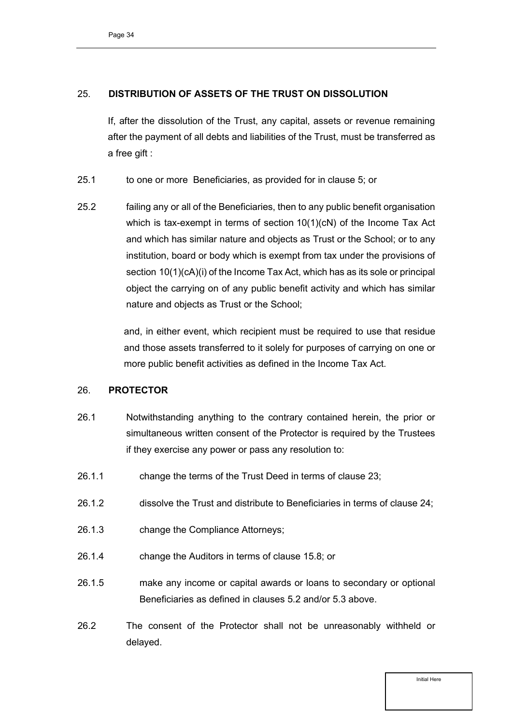#### <span id="page-33-0"></span>25. **DISTRIBUTION OF ASSETS OF THE TRUST ON DISSOLUTION**

If, after the dissolution of the Trust, any capital, assets or revenue remaining after the payment of all debts and liabilities of the Trust, must be transferred as a free gift :

- 25.1 to one or more Beneficiaries, as provided for in clause [5;](#page-10-0) or
- 25.2 failing any or all of the Beneficiaries, then to any public benefit organisation which is tax-exempt in terms of section 10(1)(cN) of the Income Tax Act and which has similar nature and objects as Trust or the School; or to any institution, board or body which is exempt from tax under the provisions of section 10(1)(cA)(i) of the Income Tax Act, which has as its sole or principal object the carrying on of any public benefit activity and which has similar nature and objects as Trust or the School;

and, in either event, which recipient must be required to use that residue and those assets transferred to it solely for purposes of carrying on one or more public benefit activities as defined in the Income Tax Act.

#### <span id="page-33-1"></span>26. **PROTECTOR**

- 26.1 Notwithstanding anything to the contrary contained herein, the prior or simultaneous written consent of the Protector is required by the Trustees if they exercise any power or pass any resolution to:
- 26.1.1 change the terms of the Trust Deed in terms of clause [23;](#page-31-0)
- 26.1.2 dissolve the Trust and distribute to Beneficiaries in terms of clause [24;](#page-32-0)
- 26.1.3 change the Compliance Attorneys;
- 26.1.4 change the Auditors in terms of clause [15.8;](#page-23-1) or
- 26.1.5 make any income or capital awards or loans to secondary or optional Beneficiaries as defined in clauses [5.2](#page-10-3) and/or 5.3 above.
- 26.2 The consent of the Protector shall not be unreasonably withheld or delayed.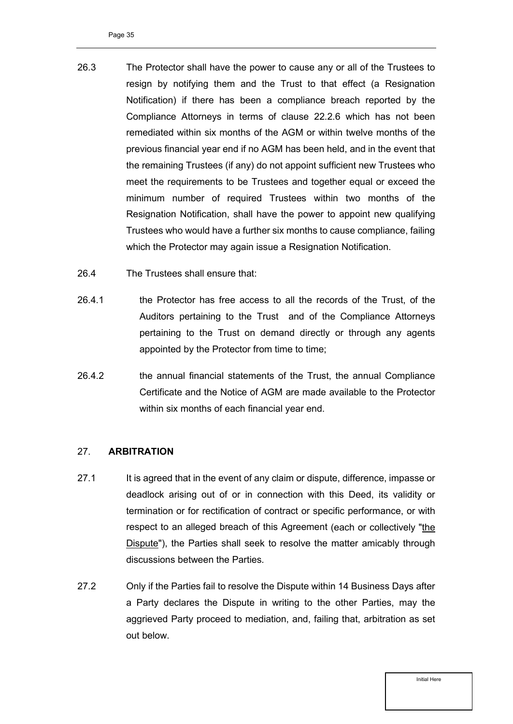- 26.3 The Protector shall have the power to cause any or all of the Trustees to resign by notifying them and the Trust to that effect (a Resignation Notification) if there has been a compliance breach reported by the Compliance Attorneys in terms of clause [22.2.6](#page-30-0) which has not been remediated within six months of the AGM or within twelve months of the previous financial year end if no AGM has been held, and in the event that the remaining Trustees (if any) do not appoint sufficient new Trustees who meet the requirements to be Trustees and together equal or exceed the minimum number of required Trustees within two months of the Resignation Notification, shall have the power to appoint new qualifying Trustees who would have a further six months to cause compliance, failing which the Protector may again issue a Resignation Notification.
- 26.4 The Trustees shall ensure that:
- 26.4.1 the Protector has free access to all the records of the Trust, of the Auditors pertaining to the Trust and of the Compliance Attorneys pertaining to the Trust on demand directly or through any agents appointed by the Protector from time to time;
- 26.4.2 the annual financial statements of the Trust, the annual Compliance Certificate and the Notice of AGM are made available to the Protector within six months of each financial year end.

#### <span id="page-34-0"></span>27. **ARBITRATION**

- 27.1 It is agreed that in the event of any claim or dispute, difference, impasse or deadlock arising out of or in connection with this Deed, its validity or termination or for rectification of contract or specific performance, or with respect to an alleged breach of this Agreement (each or collectively "the Dispute"), the Parties shall seek to resolve the matter amicably through discussions between the Parties.
- 27.2 Only if the Parties fail to resolve the Dispute within 14 Business Days after a Party declares the Dispute in writing to the other Parties, may the aggrieved Party proceed to mediation, and, failing that, arbitration as set out below.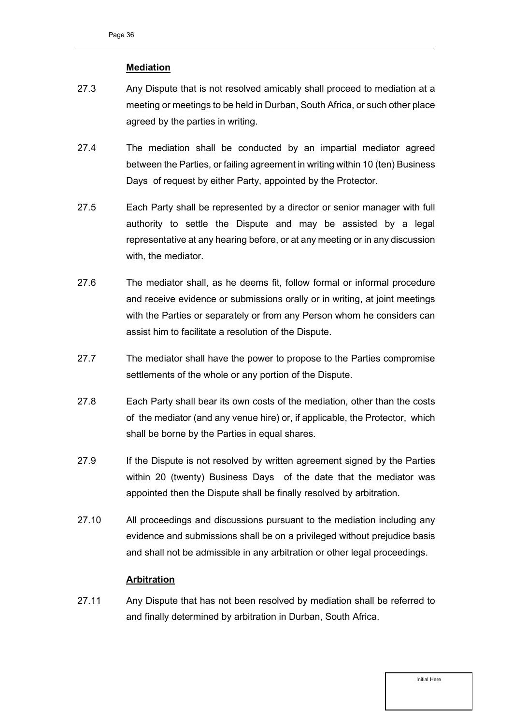#### **Mediation**

- 27.3 Any Dispute that is not resolved amicably shall proceed to mediation at a meeting or meetings to be held in Durban, South Africa, or such other place agreed by the parties in writing.
- 27.4 The mediation shall be conducted by an impartial mediator agreed between the Parties, or failing agreement in writing within 10 (ten) Business Days of request by either Party, appointed by the Protector.
- 27.5 Each Party shall be represented by a director or senior manager with full authority to settle the Dispute and may be assisted by a legal representative at any hearing before, or at any meeting or in any discussion with, the mediator.
- 27.6 The mediator shall, as he deems fit, follow formal or informal procedure and receive evidence or submissions orally or in writing, at joint meetings with the Parties or separately or from any Person whom he considers can assist him to facilitate a resolution of the Dispute.
- 27.7 The mediator shall have the power to propose to the Parties compromise settlements of the whole or any portion of the Dispute.
- 27.8 Each Party shall bear its own costs of the mediation, other than the costs of the mediator (and any venue hire) or, if applicable, the Protector, which shall be borne by the Parties in equal shares.
- 27.9 If the Dispute is not resolved by written agreement signed by the Parties within 20 (twenty) Business Days of the date that the mediator was appointed then the Dispute shall be finally resolved by arbitration.
- 27.10 All proceedings and discussions pursuant to the mediation including any evidence and submissions shall be on a privileged without prejudice basis and shall not be admissible in any arbitration or other legal proceedings.

#### **Arbitration**

27.11 Any Dispute that has not been resolved by mediation shall be referred to and finally determined by arbitration in Durban, South Africa.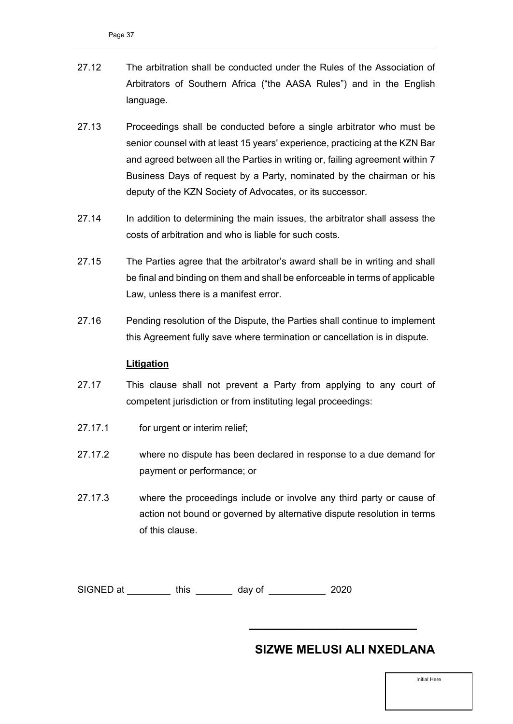- 27.12 The arbitration shall be conducted under the Rules of the Association of Arbitrators of Southern Africa ("the AASA Rules") and in the English language.
- 27.13 Proceedings shall be conducted before a single arbitrator who must be senior counsel with at least 15 years' experience, practicing at the KZN Bar and agreed between all the Parties in writing or, failing agreement within 7 Business Days of request by a Party, nominated by the chairman or his deputy of the KZN Society of Advocates, or its successor.
- 27.14 In addition to determining the main issues, the arbitrator shall assess the costs of arbitration and who is liable for such costs.
- 27.15 The Parties agree that the arbitrator's award shall be in writing and shall be final and binding on them and shall be enforceable in terms of applicable Law, unless there is a manifest error.
- 27.16 Pending resolution of the Dispute, the Parties shall continue to implement this Agreement fully save where termination or cancellation is in dispute.

#### **Litigation**

- 27.17 This clause shall not prevent a Party from applying to any court of competent jurisdiction or from instituting legal proceedings:
- 27.17.1 for urgent or interim relief;
- 27.17.2 where no dispute has been declared in response to a due demand for payment or performance; or
- 27.17.3 where the proceedings include or involve any third party or cause of action not bound or governed by alternative dispute resolution in terms of this clause.

SIGNED at \_\_\_\_\_\_\_\_\_\_ this \_\_\_\_\_\_\_\_\_ day of \_\_\_\_\_\_\_\_\_\_\_\_ 2020

### **SIZWE MELUSI ALI NXEDLANA**

**\_\_\_\_\_\_\_\_\_\_\_\_\_\_\_\_\_\_\_\_\_\_\_\_\_**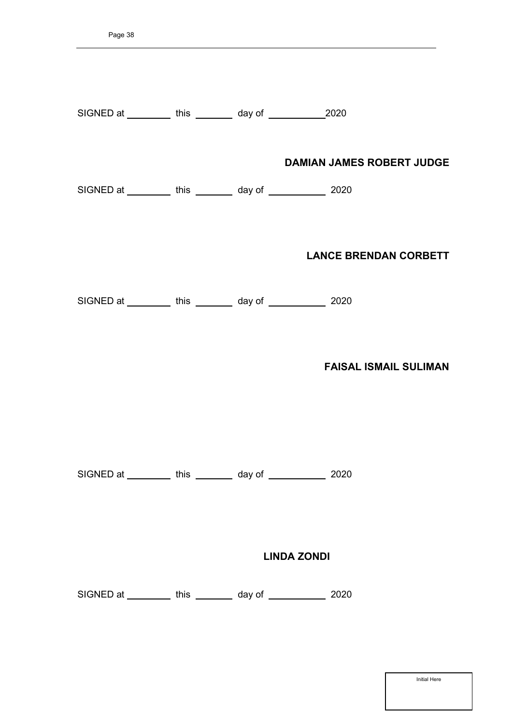| SIGNED at __________ this ________ day of _______________2020 |                    |                                  |
|---------------------------------------------------------------|--------------------|----------------------------------|
| SIGNED at __________ this ________ day of _____________ 2020  |                    | <b>DAMIAN JAMES ROBERT JUDGE</b> |
|                                                               |                    | <b>LANCE BRENDAN CORBETT</b>     |
| SIGNED at __________ this ________ day of ____________ 2020   |                    |                                  |
|                                                               |                    | <b>FAISAL ISMAIL SULIMAN</b>     |
| SIGNED at __________ this ________ day of ____________ 2020   |                    |                                  |
|                                                               | <b>LINDA ZONDI</b> |                                  |
| SIGNED at __________ this ________ day of ___________         |                    | 2020                             |
|                                                               |                    |                                  |